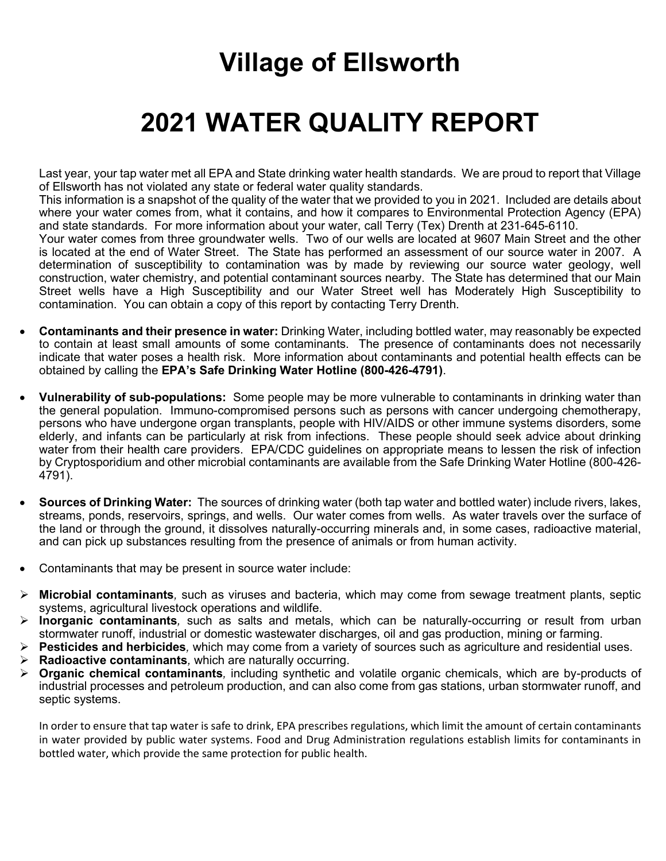## **Village of Ellsworth**

## **2021 WATER QUALITY REPORT**

Last year, your tap water met all EPA and State drinking water health standards. We are proud to report that Village of Ellsworth has not violated any state or federal water quality standards.

This information is a snapshot of the quality of the water that we provided to you in 2021. Included are details about where your water comes from, what it contains, and how it compares to Environmental Protection Agency (EPA) and state standards. For more information about your water, call Terry (Tex) Drenth at 231-645-6110.

Your water comes from three groundwater wells. Two of our wells are located at 9607 Main Street and the other is located at the end of Water Street. The State has performed an assessment of our source water in 2007. A determination of susceptibility to contamination was by made by reviewing our source water geology, well construction, water chemistry, and potential contaminant sources nearby. The State has determined that our Main Street wells have a High Susceptibility and our Water Street well has Moderately High Susceptibility to contamination. You can obtain a copy of this report by contacting Terry Drenth.

- **Contaminants and their presence in water:** Drinking Water, including bottled water, may reasonably be expected to contain at least small amounts of some contaminants. The presence of contaminants does not necessarily indicate that water poses a health risk. More information about contaminants and potential health effects can be obtained by calling the **EPA's Safe Drinking Water Hotline (800-426-4791)**.
- **Vulnerability of sub-populations:** Some people may be more vulnerable to contaminants in drinking water than the general population. Immuno-compromised persons such as persons with cancer undergoing chemotherapy, persons who have undergone organ transplants, people with HIV/AIDS or other immune systems disorders, some elderly, and infants can be particularly at risk from infections. These people should seek advice about drinking water from their health care providers. EPA/CDC guidelines on appropriate means to lessen the risk of infection by Cryptosporidium and other microbial contaminants are available from the Safe Drinking Water Hotline (800-426- 4791).
- **Sources of Drinking Water:** The sources of drinking water (both tap water and bottled water) include rivers, lakes, streams, ponds, reservoirs, springs, and wells. Our water comes from wells. As water travels over the surface of the land or through the ground, it dissolves naturally-occurring minerals and, in some cases, radioactive material, and can pick up substances resulting from the presence of animals or from human activity.
- Contaminants that may be present in source water include:
- **Microbial contaminants***,* such as viruses and bacteria, which may come from sewage treatment plants, septic systems, agricultural livestock operations and wildlife.
- **Inorganic contaminants***,* such as salts and metals, which can be naturally-occurring or result from urban stormwater runoff, industrial or domestic wastewater discharges, oil and gas production, mining or farming.
- **Pesticides and herbicides***,* which may come from a variety of sources such as agriculture and residential uses.
- **Radioactive contaminants***,* which are naturally occurring.
- **Organic chemical contaminants***,* including synthetic and volatile organic chemicals, which are by-products of industrial processes and petroleum production, and can also come from gas stations, urban stormwater runoff, and septic systems.

In order to ensure that tap water is safe to drink, EPA prescribes regulations, which limit the amount of certain contaminants in water provided by public water systems. Food and Drug Administration regulations establish limits for contaminants in bottled water, which provide the same protection for public health.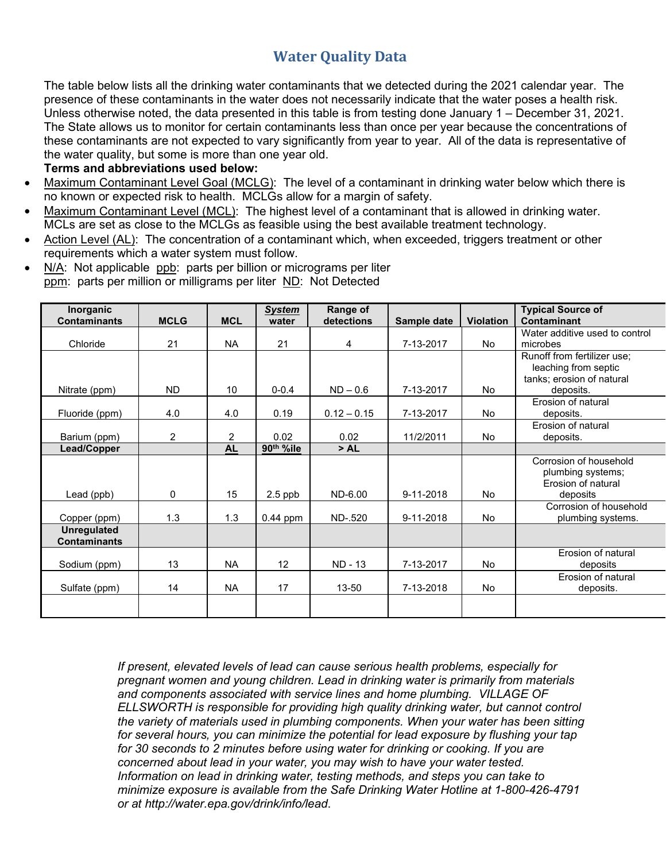## **Water Quality Data**

The table below lists all the drinking water contaminants that we detected during the 2021 calendar year. The presence of these contaminants in the water does not necessarily indicate that the water poses a health risk. Unless otherwise noted, the data presented in this table is from testing done January 1 – December 31, 2021. The State allows us to monitor for certain contaminants less than once per year because the concentrations of these contaminants are not expected to vary significantly from year to year. All of the data is representative of the water quality, but some is more than one year old.

## **Terms and abbreviations used below:**

- Maximum Contaminant Level Goal (MCLG): The level of a contaminant in drinking water below which there is no known or expected risk to health. MCLGs allow for a margin of safety.
- Maximum Contaminant Level (MCL): The highest level of a contaminant that is allowed in drinking water. MCLs are set as close to the MCLGs as feasible using the best available treatment technology.
- Action Level (AL): The concentration of a contaminant which, when exceeded, triggers treatment or other requirements which a water system must follow.
- N/A: Not applicable ppb: parts per billion or micrograms per liter ppm: parts per million or milligrams per liter ND: Not Detected

| Inorganic                                 |             |            | <b>System</b>         | Range of       |             |                  | <b>Typical Source of</b>       |
|-------------------------------------------|-------------|------------|-----------------------|----------------|-------------|------------------|--------------------------------|
| <b>Contaminants</b>                       | <b>MCLG</b> | <b>MCL</b> | water                 | detections     | Sample date | <b>Violation</b> | Contaminant                    |
|                                           |             |            |                       |                |             |                  | Water additive used to control |
| Chloride                                  | 21          | <b>NA</b>  | 21                    | 4              | 7-13-2017   | <b>No</b>        | microbes                       |
|                                           |             |            |                       |                |             |                  | Runoff from fertilizer use;    |
|                                           |             |            |                       |                |             |                  | leaching from septic           |
|                                           |             |            |                       |                |             |                  | tanks; erosion of natural      |
| Nitrate (ppm)                             | <b>ND</b>   | 10         | $0 - 0.4$             | $ND - 0.6$     | 7-13-2017   | <b>No</b>        | deposits.                      |
|                                           |             |            |                       |                |             |                  | Frosion of natural             |
| Fluoride (ppm)                            | 4.0         | 4.0        | 0.19                  | $0.12 - 0.15$  | 7-13-2017   | No.              | deposits.                      |
|                                           |             |            |                       |                |             |                  | Erosion of natural             |
| Barium (ppm)                              | 2           | 2          | 0.02                  | 0.02           | 11/2/2011   | <b>No</b>        | deposits.                      |
| Lead/Copper                               |             | <b>AL</b>  | 90 <sup>th</sup> %ile | >AL            |             |                  |                                |
|                                           |             |            |                       |                |             |                  | Corrosion of household         |
|                                           |             |            |                       |                |             |                  | plumbing systems;              |
|                                           |             |            |                       |                |             |                  | Frosion of natural             |
| Lead (ppb)                                | 0           | 15         | $2.5$ ppb             | ND-6.00        | 9-11-2018   | <b>No</b>        | deposits                       |
|                                           |             |            |                       |                |             |                  | Corrosion of household         |
| Copper (ppm)                              | 1.3         | 1.3        | $0.44$ ppm            | ND-.520        | 9-11-2018   | <b>No</b>        | plumbing systems.              |
| <b>Unregulated</b><br><b>Contaminants</b> |             |            |                       |                |             |                  |                                |
|                                           |             |            |                       |                |             |                  | Erosion of natural             |
| Sodium (ppm)                              | 13          | <b>NA</b>  | 12                    | <b>ND - 13</b> | 7-13-2017   | <b>No</b>        | deposits                       |
|                                           |             |            |                       |                |             |                  | Erosion of natural             |
| Sulfate (ppm)                             | 14          | <b>NA</b>  | 17                    | $13 - 50$      | 7-13-2018   | <b>No</b>        | deposits.                      |
|                                           |             |            |                       |                |             |                  |                                |
|                                           |             |            |                       |                |             |                  |                                |

*If present, elevated levels of lead can cause serious health problems, especially for pregnant women and young children. Lead in drinking water is primarily from materials and components associated with service lines and home plumbing. VILLAGE OF ELLSWORTH is responsible for providing high quality drinking water, but cannot control the variety of materials used in plumbing components. When your water has been sitting for several hours, you can minimize the potential for lead exposure by flushing your tap*  for 30 seconds to 2 minutes before using water for drinking or cooking. If you are *concerned about lead in your water, you may wish to have your water tested. Information on lead in drinking water, testing methods, and steps you can take to minimize exposure is available from the Safe Drinking Water Hotline at 1-800-426-4791 or at http://water.epa.gov/drink/info/lead*.